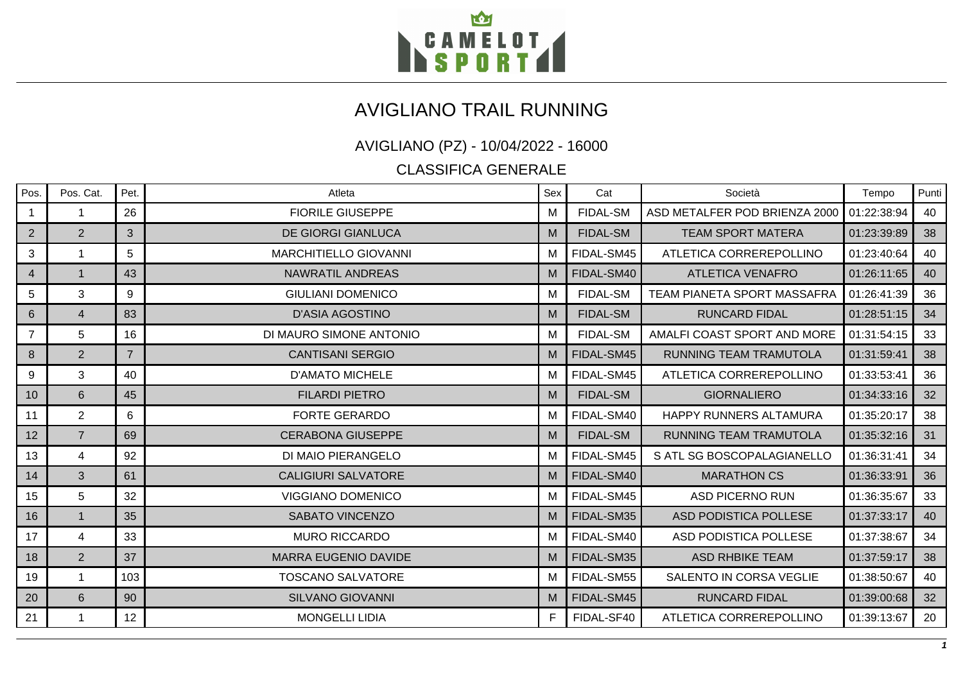

## AVIGLIANO TRAIL RUNNING

## AVIGLIANO (PZ) - 10/04/2022 - 16000

CLASSIFICA GENERALE

| Pos.           | Pos. Cat.      | Pet.           | Atleta                       | Sex | Cat             | Società                            | Tempo       | Punti |
|----------------|----------------|----------------|------------------------------|-----|-----------------|------------------------------------|-------------|-------|
| $\mathbf{1}$   | 1              | 26             | <b>FIORILE GIUSEPPE</b>      | M   | <b>FIDAL-SM</b> | ASD METALFER POD BRIENZA 2000      | 01:22:38:94 | 40    |
| $\overline{2}$ | $\overline{2}$ | 3              | <b>DE GIORGI GIANLUCA</b>    | M   | <b>FIDAL-SM</b> | <b>TEAM SPORT MATERA</b>           | 01:23:39:89 | 38    |
| 3              |                | 5              | <b>MARCHITIELLO GIOVANNI</b> | М   | FIDAL-SM45      | ATLETICA CORREREPOLLINO            | 01:23:40:64 | 40    |
| $\overline{4}$ | $\mathbf{1}$   | 43             | <b>NAWRATIL ANDREAS</b>      | м   | FIDAL-SM40      | <b>ATLETICA VENAFRO</b>            | 01:26:11:65 | 40    |
| 5              | 3              | 9              | <b>GIULIANI DOMENICO</b>     | M   | <b>FIDAL-SM</b> | <b>TEAM PIANETA SPORT MASSAFRA</b> | 01:26:41:39 | 36    |
| 6              | $\overline{4}$ | 83             | <b>D'ASIA AGOSTINO</b>       | M   | <b>FIDAL-SM</b> | <b>RUNCARD FIDAL</b>               | 01:28:51:15 | 34    |
| 7              | 5              | 16             | DI MAURO SIMONE ANTONIO      | м   | <b>FIDAL-SM</b> | AMALFI COAST SPORT AND MORE        | 01:31:54:15 | 33    |
| 8              | 2              | $\overline{7}$ | <b>CANTISANI SERGIO</b>      | M   | FIDAL-SM45      | RUNNING TEAM TRAMUTOLA             | 01:31:59:41 | 38    |
| 9              | 3              | 40             | <b>D'AMATO MICHELE</b>       | м   | FIDAL-SM45      | ATLETICA CORREREPOLLINO            | 01:33:53:41 | 36    |
| 10             | 6              | 45             | <b>FILARDI PIETRO</b>        | M   | <b>FIDAL-SM</b> | <b>GIORNALIERO</b>                 | 01:34:33:16 | 32    |
| 11             | $\overline{2}$ | 6              | <b>FORTE GERARDO</b>         | м   | FIDAL-SM40      | <b>HAPPY RUNNERS ALTAMURA</b>      | 01:35:20:17 | 38    |
| 12             | $\overline{7}$ | 69             | <b>CERABONA GIUSEPPE</b>     | M   | <b>FIDAL-SM</b> | <b>RUNNING TEAM TRAMUTOLA</b>      | 01:35:32:16 | 31    |
| 13             | 4              | 92             | DI MAIO PIERANGELO           | м   | FIDAL-SM45      | S ATL SG BOSCOPALAGIANELLO         | 01:36:31:41 | 34    |
| 14             | 3              | 61             | <b>CALIGIURI SALVATORE</b>   | M   | FIDAL-SM40      | <b>MARATHON CS</b>                 | 01:36:33:91 | 36    |
| 15             | 5              | 32             | <b>VIGGIANO DOMENICO</b>     | м   | FIDAL-SM45      | <b>ASD PICERNO RUN</b>             | 01:36:35:67 | 33    |
| 16             | $\mathbf{1}$   | 35             | <b>SABATO VINCENZO</b>       | M   | FIDAL-SM35      | ASD PODISTICA POLLESE              | 01:37:33:17 | 40    |
| 17             | 4              | 33             | <b>MURO RICCARDO</b>         | м   | FIDAL-SM40      | <b>ASD PODISTICA POLLESE</b>       | 01:37:38:67 | 34    |
| 18             | $\overline{2}$ | 37             | <b>MARRA EUGENIO DAVIDE</b>  | M   | FIDAL-SM35      | <b>ASD RHBIKE TEAM</b>             | 01:37:59:17 | 38    |
| 19             | 1              | 103            | <b>TOSCANO SALVATORE</b>     | м   | FIDAL-SM55      | SALENTO IN CORSA VEGLIE            | 01:38:50:67 | 40    |
| 20             | 6              | 90             | <b>SILVANO GIOVANNI</b>      | M   | FIDAL-SM45      | <b>RUNCARD FIDAL</b>               | 01:39:00:68 | 32    |
| 21             |                | 12             | <b>MONGELLI LIDIA</b>        | F.  | FIDAL-SF40      | ATLETICA CORREREPOLLINO            | 01:39:13:67 | 20    |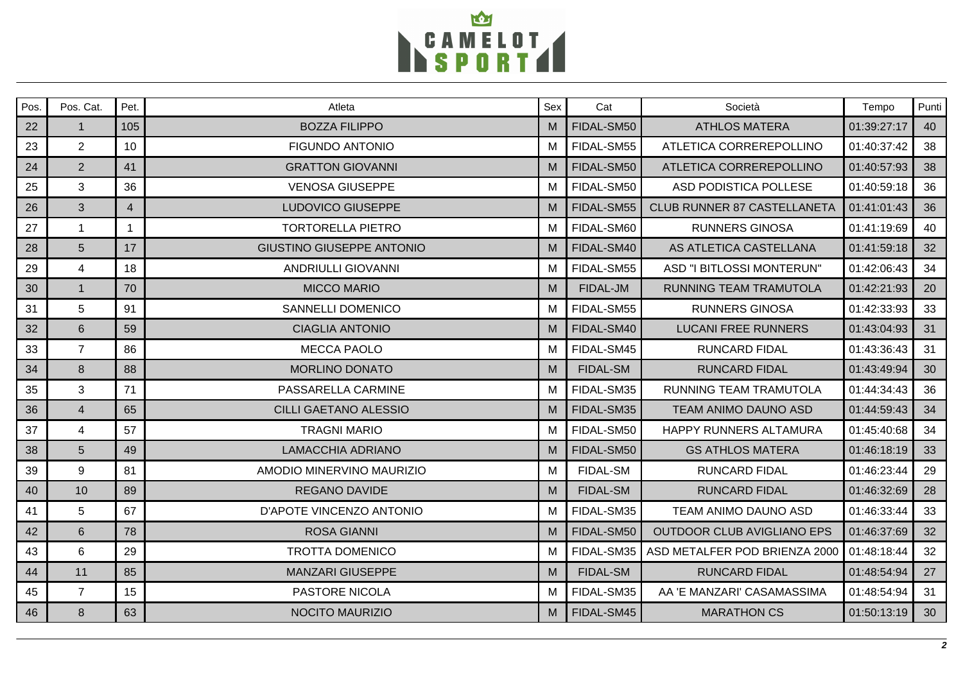

| Pos. | Pos. Cat.       | Pet.           | Atleta                           | Sex | Cat             | Società                            | Tempo       | Punti |
|------|-----------------|----------------|----------------------------------|-----|-----------------|------------------------------------|-------------|-------|
| 22   | $\mathbf{1}$    | 105            | <b>BOZZA FILIPPO</b>             | M   | FIDAL-SM50      | <b>ATHLOS MATERA</b>               | 01:39:27:17 | 40    |
| 23   | 2               | 10             | <b>FIGUNDO ANTONIO</b>           | M   | FIDAL-SM55      | ATLETICA CORREREPOLLINO            | 01:40:37:42 | 38    |
| 24   | 2               | 41             | <b>GRATTON GIOVANNI</b>          | M   | FIDAL-SM50      | ATLETICA CORREREPOLLINO            | 01:40:57:93 | 38    |
| 25   | 3               | 36             | <b>VENOSA GIUSEPPE</b>           | M   | FIDAL-SM50      | ASD PODISTICA POLLESE              | 01:40:59:18 | 36    |
| 26   | 3               | $\overline{4}$ | <b>LUDOVICO GIUSEPPE</b>         | M   | FIDAL-SM55      | <b>CLUB RUNNER 87 CASTELLANETA</b> | 01:41:01:43 | 36    |
| 27   |                 | $\mathbf{1}$   | <b>TORTORELLA PIETRO</b>         | м   | FIDAL-SM60      | <b>RUNNERS GINOSA</b>              | 01:41:19:69 | 40    |
| 28   | $5\phantom{1}$  | 17             | <b>GIUSTINO GIUSEPPE ANTONIO</b> | M   | FIDAL-SM40      | AS ATLETICA CASTELLANA             | 01:41:59:18 | 32    |
| 29   | $\overline{4}$  | 18             | <b>ANDRIULLI GIOVANNI</b>        | м   | FIDAL-SM55      | ASD "I BITLOSSI MONTERUN"          | 01:42:06:43 | 34    |
| 30   | $\overline{1}$  | 70             | <b>MICCO MARIO</b>               | M   | FIDAL-JM        | RUNNING TEAM TRAMUTOLA             | 01:42:21:93 | 20    |
| 31   | 5               | 91             | <b>SANNELLI DOMENICO</b>         | M   | FIDAL-SM55      | <b>RUNNERS GINOSA</b>              | 01:42:33:93 | 33    |
| 32   | 6               | 59             | <b>CIAGLIA ANTONIO</b>           | M   | FIDAL-SM40      | <b>LUCANI FREE RUNNERS</b>         | 01:43:04:93 | 31    |
| 33   | $\overline{7}$  | 86             | <b>MECCA PAOLO</b>               | м   | FIDAL-SM45      | <b>RUNCARD FIDAL</b>               | 01:43:36:43 | 31    |
| 34   | 8               | 88             | <b>MORLINO DONATO</b>            | M   | <b>FIDAL-SM</b> | <b>RUNCARD FIDAL</b>               | 01:43:49:94 | 30    |
| 35   | 3               | 71             | PASSARELLA CARMINE               | м   | FIDAL-SM35      | RUNNING TEAM TRAMUTOLA             | 01:44:34:43 | 36    |
| 36   | $\overline{4}$  | 65             | <b>CILLI GAETANO ALESSIO</b>     | M   | FIDAL-SM35      | <b>TEAM ANIMO DAUNO ASD</b>        | 01:44:59:43 | 34    |
| 37   | $\overline{4}$  | 57             | <b>TRAGNI MARIO</b>              | м   | FIDAL-SM50      | HAPPY RUNNERS ALTAMURA             | 01:45:40:68 | 34    |
| 38   | $5\phantom{.0}$ | 49             | <b>LAMACCHIA ADRIANO</b>         | M   | FIDAL-SM50      | <b>GS ATHLOS MATERA</b>            | 01:46:18:19 | 33    |
| 39   | $\overline{9}$  | 81             | AMODIO MINERVINO MAURIZIO        | м   | <b>FIDAL-SM</b> | <b>RUNCARD FIDAL</b>               | 01:46:23:44 | 29    |
| 40   | 10              | 89             | <b>REGANO DAVIDE</b>             | M   | <b>FIDAL-SM</b> | <b>RUNCARD FIDAL</b>               | 01:46:32:69 | 28    |
| 41   | 5               | 67             | D'APOTE VINCENZO ANTONIO         | м   | FIDAL-SM35      | TEAM ANIMO DAUNO ASD               | 01:46:33:44 | 33    |
| 42   | 6               | 78             | <b>ROSA GIANNI</b>               | M   | FIDAL-SM50      | <b>OUTDOOR CLUB AVIGLIANO EPS</b>  | 01:46:37:69 | 32    |
| 43   | 6               | 29             | <b>TROTTA DOMENICO</b>           | м   | FIDAL-SM35      | ASD METALFER POD BRIENZA 2000      | 01:48:18:44 | 32    |
| 44   | 11              | 85             | <b>MANZARI GIUSEPPE</b>          | M   | <b>FIDAL-SM</b> | <b>RUNCARD FIDAL</b>               | 01:48:54:94 | 27    |
| 45   | $\overline{7}$  | 15             | <b>PASTORE NICOLA</b>            | M   | FIDAL-SM35      | AA 'E MANZARI' CASAMASSIMA         | 01:48:54:94 | 31    |
| 46   | 8               | 63             | <b>NOCITO MAURIZIO</b>           | M   | FIDAL-SM45      | <b>MARATHON CS</b>                 | 01:50:13:19 | 30    |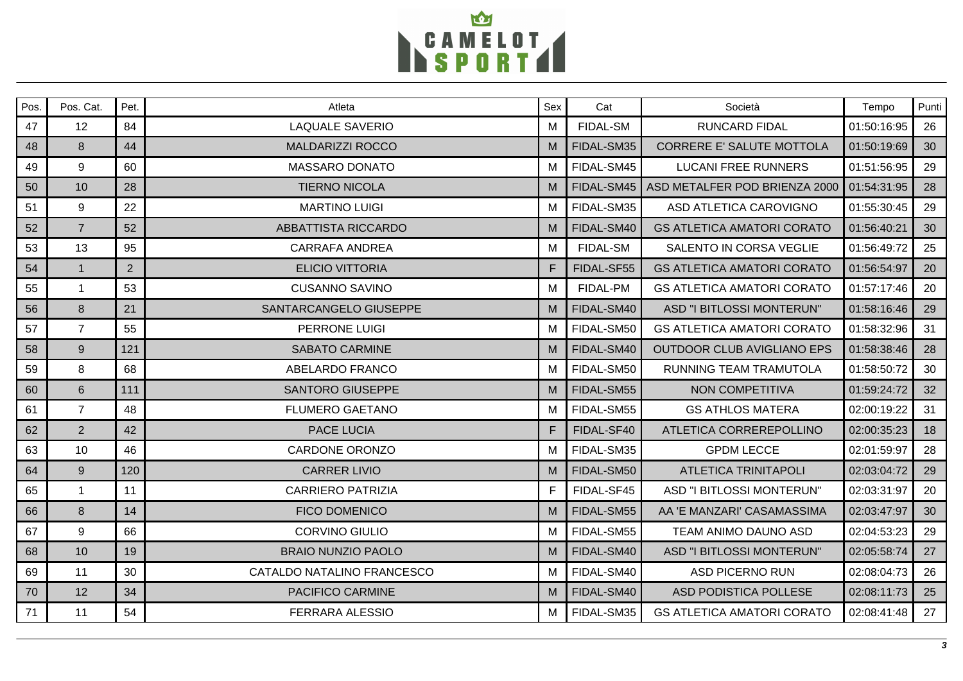

| Pos. | Pos. Cat.      | Pet.           | Atleta                     | Sex | Cat             | Società                           | Tempo       | Punti |
|------|----------------|----------------|----------------------------|-----|-----------------|-----------------------------------|-------------|-------|
| 47   | 12             | 84             | <b>LAQUALE SAVERIO</b>     | M   | FIDAL-SM        | <b>RUNCARD FIDAL</b>              | 01:50:16:95 | 26    |
| 48   | 8              | 44             | <b>MALDARIZZI ROCCO</b>    | M   | FIDAL-SM35      | CORRERE E' SALUTE MOTTOLA         | 01:50:19:69 | 30    |
| 49   | 9              | 60             | <b>MASSARO DONATO</b>      | М   | FIDAL-SM45      | <b>LUCANI FREE RUNNERS</b>        | 01:51:56:95 | 29    |
| 50   | 10             | 28             | <b>TIERNO NICOLA</b>       | м   | FIDAL-SM45      | ASD METALFER POD BRIENZA 2000     | 01:54:31:95 | 28    |
| 51   | 9              | 22             | <b>MARTINO LUIGI</b>       | м   | FIDAL-SM35      | ASD ATLETICA CAROVIGNO            | 01:55:30:45 | 29    |
| 52   | $\overline{7}$ | 52             | <b>ABBATTISTA RICCARDO</b> | м   | FIDAL-SM40      | <b>GS ATLETICA AMATORI CORATO</b> | 01:56:40:21 | 30    |
| 53   | 13             | 95             | <b>CARRAFA ANDREA</b>      | м   | <b>FIDAL-SM</b> | SALENTO IN CORSA VEGLIE           | 01:56:49:72 | 25    |
| 54   | $\mathbf{1}$   | $\overline{2}$ | <b>ELICIO VITTORIA</b>     | F   | FIDAL-SF55      | <b>GS ATLETICA AMATORI CORATO</b> | 01:56:54:97 | 20    |
| 55   | $\mathbf{1}$   | 53             | <b>CUSANNO SAVINO</b>      | M   | FIDAL-PM        | <b>GS ATLETICA AMATORI CORATO</b> | 01:57:17:46 | 20    |
| 56   | 8              | 21             | SANTARCANGELO GIUSEPPE     | м   | FIDAL-SM40      | ASD "I BITLOSSI MONTERUN"         | 01:58:16:46 | 29    |
| 57   | $\overline{7}$ | 55             | PERRONE LUIGI              | м   | FIDAL-SM50      | <b>GS ATLETICA AMATORI CORATO</b> | 01:58:32:96 | 31    |
| 58   | 9              | 121            | <b>SABATO CARMINE</b>      | M   | FIDAL-SM40      | <b>OUTDOOR CLUB AVIGLIANO EPS</b> | 01:58:38:46 | 28    |
| 59   | 8              | 68             | ABELARDO FRANCO            | м   | FIDAL-SM50      | RUNNING TEAM TRAMUTOLA            | 01:58:50:72 | 30    |
| 60   | 6              | 111            | <b>SANTORO GIUSEPPE</b>    | M   | FIDAL-SM55      | NON COMPETITIVA                   | 01:59:24:72 | 32    |
| 61   | $\overline{7}$ | 48             | <b>FLUMERO GAETANO</b>     | м   | FIDAL-SM55      | <b>GS ATHLOS MATERA</b>           | 02:00:19:22 | 31    |
| 62   | 2              | 42             | <b>PACE LUCIA</b>          | F.  | FIDAL-SF40      | ATLETICA CORREREPOLLINO           | 02:00:35:23 | 18    |
| 63   | 10             | 46             | <b>CARDONE ORONZO</b>      | м   | FIDAL-SM35      | <b>GPDM LECCE</b>                 | 02:01:59:97 | 28    |
| 64   | 9              | 120            | <b>CARRER LIVIO</b>        | м   | FIDAL-SM50      | <b>ATLETICA TRINITAPOLI</b>       | 02:03:04:72 | 29    |
| 65   | $\mathbf{1}$   | 11             | <b>CARRIERO PATRIZIA</b>   | F   | FIDAL-SF45      | ASD "I BITLOSSI MONTERUN"         | 02:03:31:97 | 20    |
| 66   | 8              | 14             | <b>FICO DOMENICO</b>       | м   | FIDAL-SM55      | AA 'E MANZARI' CASAMASSIMA        | 02:03:47:97 | 30    |
| 67   | 9              | 66             | <b>CORVINO GIULIO</b>      | м   | FIDAL-SM55      | TEAM ANIMO DAUNO ASD              | 02:04:53:23 | 29    |
| 68   | 10             | 19             | <b>BRAIO NUNZIO PAOLO</b>  | M   | FIDAL-SM40      | ASD "I BITLOSSI MONTERUN"         | 02:05:58:74 | 27    |
| 69   | 11             | 30             | CATALDO NATALINO FRANCESCO | м   | FIDAL-SM40      | <b>ASD PICERNO RUN</b>            | 02:08:04:73 | 26    |
| 70   | 12             | 34             | PACIFICO CARMINE           | м   | FIDAL-SM40      | ASD PODISTICA POLLESE             | 02:08:11:73 | 25    |
| 71   | 11             | 54             | <b>FERRARA ALESSIO</b>     | М   | FIDAL-SM35      | <b>GS ATLETICA AMATORI CORATO</b> | 02:08:41:48 | 27    |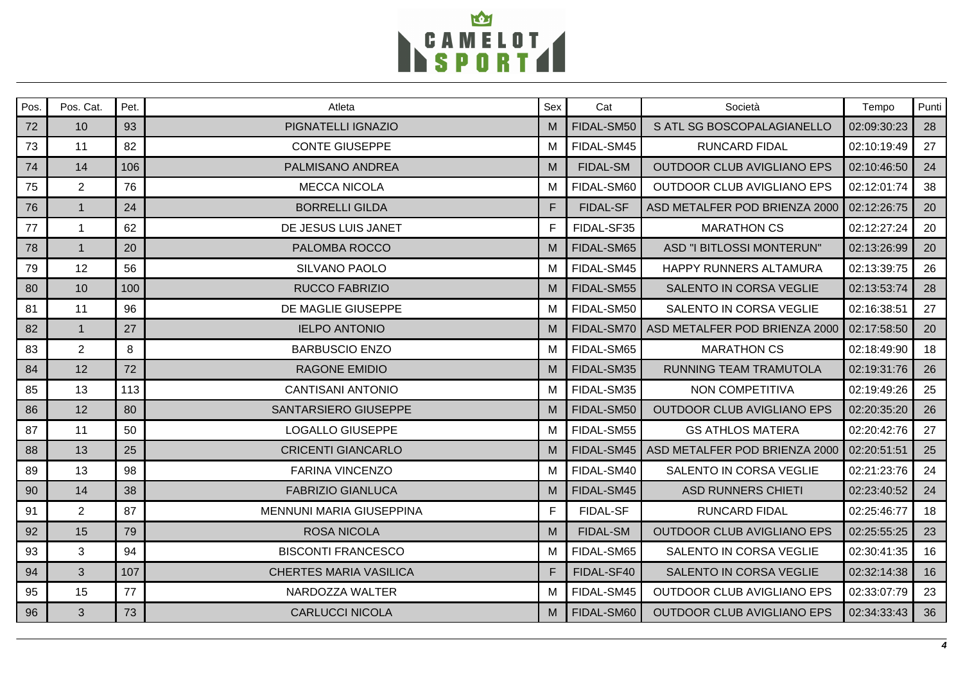

| Pos. | Pos. Cat.      | Pet. | Atleta                          | Sex | Cat             | Società                           | Tempo       | Punti |
|------|----------------|------|---------------------------------|-----|-----------------|-----------------------------------|-------------|-------|
| 72   | 10             | 93   | PIGNATELLI IGNAZIO              | M   | FIDAL-SM50      | S ATL SG BOSCOPALAGIANELLO        | 02:09:30:23 | 28    |
| 73   | 11             | 82   | <b>CONTE GIUSEPPE</b>           | M   | FIDAL-SM45      | <b>RUNCARD FIDAL</b>              | 02:10:19:49 | 27    |
| 74   | 14             | 106  | PALMISANO ANDREA                | M   | <b>FIDAL-SM</b> | <b>OUTDOOR CLUB AVIGLIANO EPS</b> | 02:10:46:50 | 24    |
| 75   | $\overline{2}$ | 76   | <b>MECCA NICOLA</b>             | м   | FIDAL-SM60      | OUTDOOR CLUB AVIGLIANO EPS        | 02:12:01:74 | 38    |
| 76   | $\overline{1}$ | 24   | <b>BORRELLI GILDA</b>           | F   | <b>FIDAL-SF</b> | ASD METALFER POD BRIENZA 2000     | 02:12:26:75 | 20    |
| 77   | $\mathbf{1}$   | 62   | DE JESUS LUIS JANET             | F.  | FIDAL-SF35      | <b>MARATHON CS</b>                | 02:12:27:24 | 20    |
| 78   | $\overline{1}$ | 20   | PALOMBA ROCCO                   | M   | FIDAL-SM65      | ASD "I BITLOSSI MONTERUN"         | 02:13:26:99 | 20    |
| 79   | 12             | 56   | SILVANO PAOLO                   | м   | FIDAL-SM45      | HAPPY RUNNERS ALTAMURA            | 02:13:39:75 | 26    |
| 80   | 10             | 100  | <b>RUCCO FABRIZIO</b>           | M   | FIDAL-SM55      | SALENTO IN CORSA VEGLIE           | 02:13:53:74 | 28    |
| 81   | 11             | 96   | DE MAGLIE GIUSEPPE              | м   | FIDAL-SM50      | SALENTO IN CORSA VEGLIE           | 02:16:38:51 | 27    |
| 82   | $\mathbf{1}$   | 27   | <b>IELPO ANTONIO</b>            | M   | FIDAL-SM70      | ASD METALFER POD BRIENZA 2000     | 02:17:58:50 | 20    |
| 83   | $\overline{2}$ | 8    | <b>BARBUSCIO ENZO</b>           | M   | FIDAL-SM65      | <b>MARATHON CS</b>                | 02:18:49:90 | 18    |
| 84   | 12             | 72   | <b>RAGONE EMIDIO</b>            | M   | FIDAL-SM35      | RUNNING TEAM TRAMUTOLA            | 02:19:31:76 | 26    |
| 85   | 13             | 113  | <b>CANTISANI ANTONIO</b>        | м   | FIDAL-SM35      | NON COMPETITIVA                   | 02:19:49:26 | 25    |
| 86   | 12             | 80   | SANTARSIERO GIUSEPPE            | M   | FIDAL-SM50      | <b>OUTDOOR CLUB AVIGLIANO EPS</b> | 02:20:35:20 | 26    |
| 87   | 11             | 50   | <b>LOGALLO GIUSEPPE</b>         | M   | FIDAL-SM55      | <b>GS ATHLOS MATERA</b>           | 02:20:42:76 | 27    |
| 88   | 13             | 25   | <b>CRICENTI GIANCARLO</b>       | M   | FIDAL-SM45      | ASD METALFER POD BRIENZA 2000     | 02:20:51:51 | 25    |
| 89   | 13             | 98   | <b>FARINA VINCENZO</b>          | м   | FIDAL-SM40      | SALENTO IN CORSA VEGLIE           | 02:21:23:76 | 24    |
| 90   | 14             | 38   | <b>FABRIZIO GIANLUCA</b>        | M   | FIDAL-SM45      | <b>ASD RUNNERS CHIETI</b>         | 02:23:40:52 | 24    |
| 91   | 2              | 87   | <b>MENNUNI MARIA GIUSEPPINA</b> | F   | FIDAL-SF        | <b>RUNCARD FIDAL</b>              | 02:25:46:77 | 18    |
| 92   | 15             | 79   | <b>ROSA NICOLA</b>              | M   | <b>FIDAL-SM</b> | <b>OUTDOOR CLUB AVIGLIANO EPS</b> | 02:25:55:25 | 23    |
| 93   | 3              | 94   | <b>BISCONTI FRANCESCO</b>       | M   | FIDAL-SM65      | SALENTO IN CORSA VEGLIE           | 02:30:41:35 | 16    |
| 94   | 3              | 107  | <b>CHERTES MARIA VASILICA</b>   | F.  | FIDAL-SF40      | SALENTO IN CORSA VEGLIE           | 02:32:14:38 | 16    |
| 95   | 15             | 77   | NARDOZZA WALTER                 | м   | FIDAL-SM45      | <b>OUTDOOR CLUB AVIGLIANO EPS</b> | 02:33:07:79 | 23    |
| 96   | 3              | 73   | <b>CARLUCCI NICOLA</b>          | M   | FIDAL-SM60      | <b>OUTDOOR CLUB AVIGLIANO EPS</b> | 02:34:33:43 | 36    |